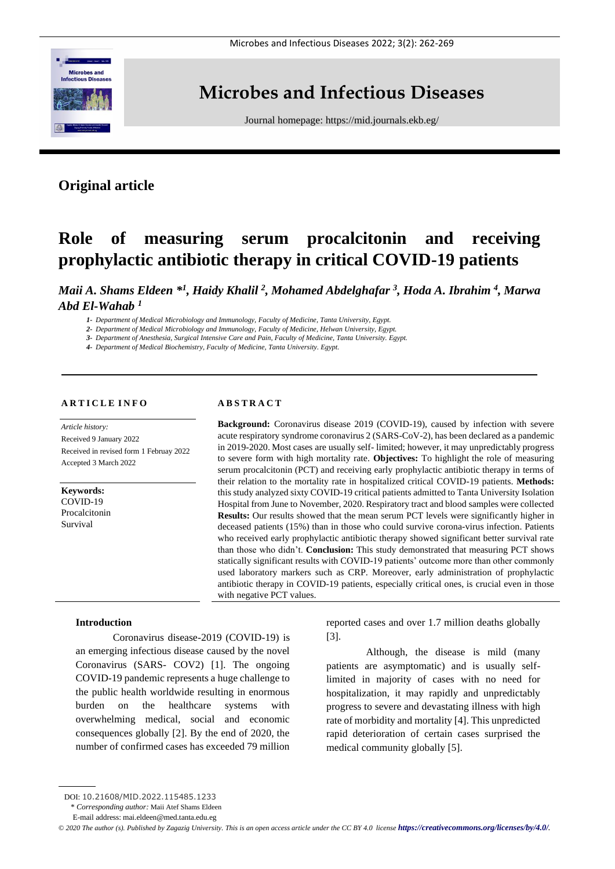

# **Microbes and Infectious Diseases**

Journal homepage:<https://mid.journals.ekb.eg/>

## **Original article**

# **Role of measuring serum procalcitonin and receiving prophylactic antibiotic therapy in critical COVID-19 patients**

*Maii A. Shams Eldeen \* 1 , Haidy Khalil <sup>2</sup> , Mohamed Abdelghafar <sup>3</sup> , Hoda A. Ibrahim <sup>4</sup> , Marwa Abd El-Wahab <sup>1</sup>*

*1- Department of Medical Microbiology and Immunology, Faculty of Medicine, Tanta University, Egypt.*

*2- Department of Medical Microbiology and Immunology, Faculty of Medicine, Helwan University, Egypt.*

*3- Department of Anesthesia, Surgical Intensive Care and Pain, Faculty of Medicine, Tanta University. Egypt.*

*4- Department of Medical Biochemistry, Faculty of Medicine, Tanta University. Egypt.*

#### **A R T I C L E I N F O**

*Article history:*  Received 9 January 2022 Received in revised form 1 Februay 2022 Accepted 3 March 2022

**Keywords:** COVID-19 Procalcitonin Survival

#### **A B S T R A C T**

**Background:** Coronavirus disease 2019 (COVID-19), caused by infection with severe acute respiratory syndrome coronavirus 2 (SARS-CoV-2), has been declared as a pandemic in 2019-2020. Most cases are usually self- limited; however, it may unpredictably progress to severe form with high mortality rate. **Objectives:** To highlight the role of measuring serum procalcitonin (PCT) and receiving early prophylactic antibiotic therapy in terms of their relation to the mortality rate in hospitalized critical COVID-19 patients. **Methods:** this study analyzed sixty COVID-19 critical patients admitted to Tanta University Isolation Hospital from June to November, 2020. Respiratory tract and blood samples were collected **Results:** Our results showed that the mean serum PCT levels were significantly higher in deceased patients (15%) than in those who could survive corona-virus infection. Patients who received early prophylactic antibiotic therapy showed significant better survival rate than those who didn't. **Conclusion:** This study demonstrated that measuring PCT shows statically significant results with COVID-19 patients' outcome more than other commonly used laboratory markers such as CRP. Moreover, early administration of prophylactic antibiotic therapy in COVID-19 patients, especially critical ones, is crucial even in those with negative PCT values.

#### **Introduction**

Coronavirus disease-2019 (COVID-19) is an emerging infectious disease caused by the novel Coronavirus (SARS- COV2) [1]. The ongoing COVID-19 pandemic represents a huge challenge to the public health worldwide resulting in enormous burden on the healthcare systems with overwhelming medical, social and economic consequences globally [2]. By the end of 2020, the number of confirmed cases has exceeded 79 million

reported cases and over 1.7 million deaths globally [3].

Although, the disease is mild (many patients are asymptomatic) and is usually selflimited in majority of cases with no need for hospitalization, it may rapidly and unpredictably progress to severe and devastating illness with high rate of morbidity and mortality [4]. This unpredicted rapid deterioration of certain cases surprised the medical community globally [5].

DOI: 10.21608/MID.2022.115485.1233

<sup>\*</sup> *Corresponding author:* Maii Atef Shams Eldeen

E-mail address: mai.eldeen@med.tanta.edu.eg

*<sup>©</sup> 2020 The author (s). Published by Zagazig University. This is an open access article under the CC BY 4.0 license <https://creativecommons.org/licenses/by/4.0/>.*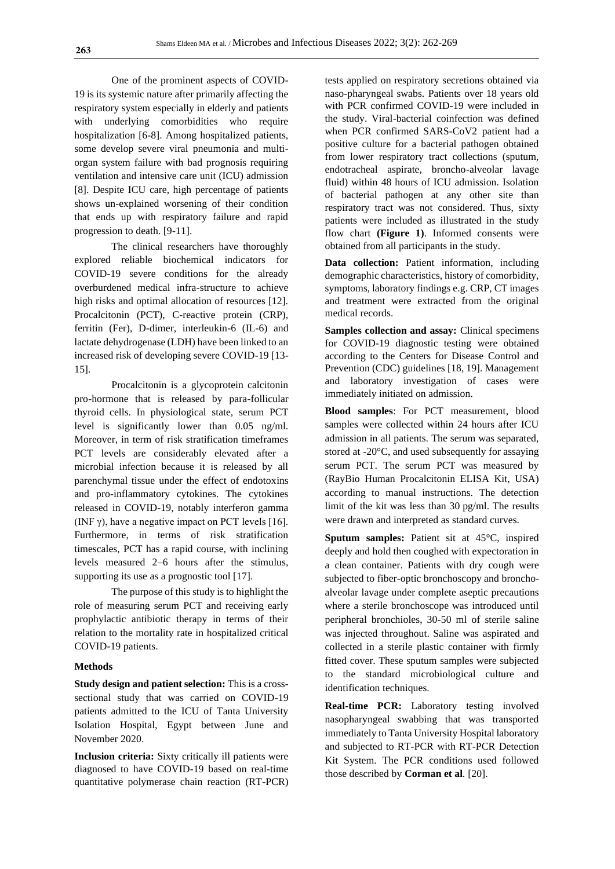One of the prominent aspects of COVID-19 is its systemic nature after primarily affecting the respiratory system especially in elderly and patients with underlying comorbidities who require hospitalization [6-8]. Among hospitalized patients, some develop severe viral pneumonia and multiorgan system failure with bad prognosis requiring ventilation and intensive care unit (ICU) admission [8]. Despite ICU care, high percentage of patients shows un-explained worsening of their condition that ends up with respiratory failure and rapid progression to death. [9-11].

The clinical researchers have thoroughly explored reliable biochemical indicators for COVID-19 severe conditions for the already overburdened medical infra-structure to achieve high risks and optimal allocation of resources [12]. Procalcitonin (PCT), C-reactive protein (CRP), ferritin (Fer), D-dimer, interleukin-6 (IL-6) and lactate dehydrogenase (LDH) have been linked to an increased risk of developing severe COVID-19 [13- 15].

Procalcitonin is a glycoprotein calcitonin pro-hormone that is released by para-follicular thyroid cells. In physiological state, serum PCT level is significantly lower than 0.05 ng/ml. Moreover, in term of risk stratification timeframes PCT levels are considerably elevated after a microbial infection because it is released by all parenchymal tissue under the effect of endotoxins and pro-inflammatory cytokines. The cytokines released in COVID-19, notably interferon gamma (INF  $\gamma$ ), have a negative impact on PCT levels [16]. Furthermore, in terms of risk stratification timescales, PCT has a rapid course, with inclining levels measured 2–6 hours after the stimulus, supporting its use as a prognostic tool [17].

The purpose of this study is to highlight the role of measuring serum PCT and receiving early prophylactic antibiotic therapy in terms of their relation to the mortality rate in hospitalized critical COVID-19 patients.

#### **Methods**

**Study design and patient selection:** This is a crosssectional study that was carried on COVID-19 patients admitted to the ICU of Tanta University Isolation Hospital, Egypt between June and November 2020.

**Inclusion criteria:** Sixty critically ill patients were diagnosed to have COVID-19 based on real-time quantitative polymerase chain reaction (RT-PCR) tests applied on respiratory secretions obtained via naso-pharyngeal swabs. Patients over 18 years old with PCR confirmed COVID-19 were included in the study. Viral-bacterial coinfection was defined when PCR confirmed SARS-CoV2 patient had a positive culture for a bacterial pathogen obtained from lower respiratory tract collections (sputum, endotracheal aspirate, broncho-alveolar lavage fluid) within 48 hours of ICU admission. Isolation of bacterial pathogen at any other site than respiratory tract was not considered. Thus, sixty patients were included as illustrated in the study flow chart **(Figure 1)**. Informed consents were obtained from all participants in the study.

**Data collection:** Patient information, including demographic characteristics, history of comorbidity, symptoms, laboratory findings e.g. CRP, CT images and treatment were extracted from the original medical records.

**Samples collection and assay:** Clinical specimens for COVID-19 diagnostic testing were obtained according to the Centers for Disease Control and Prevention (CDC) guidelines [18, 19]. Management and laboratory investigation of cases were immediately initiated on admission.

**Blood samples**: For PCT measurement, blood samples were collected within 24 hours after ICU admission in all patients. The serum was separated, stored at -20°C, and used subsequently for assaying serum PCT. The serum PCT was measured by (RayBio Human Procalcitonin ELISA Kit, USA) according to manual instructions. The detection limit of the kit was less than 30 pg/ml. The results were drawn and interpreted as standard curves.

**Sputum samples:** Patient sit at 45°C, inspired deeply and hold then coughed with expectoration in a clean container. Patients with dry cough were subjected to fiber-optic bronchoscopy and bronchoalveolar lavage under complete aseptic precautions where a sterile bronchoscope was introduced until peripheral bronchioles, 30-50 ml of sterile saline was injected throughout. Saline was aspirated and collected in a sterile plastic container with firmly fitted cover. These sputum samples were subjected to the standard microbiological culture and identification techniques.

**Real-time PCR:** Laboratory testing involved nasopharyngeal swabbing that was transported immediately to Tanta University Hospital laboratory and subjected to RT-PCR with RT-PCR Detection Kit System. The PCR conditions used followed those described by **Corman et al***.* [20].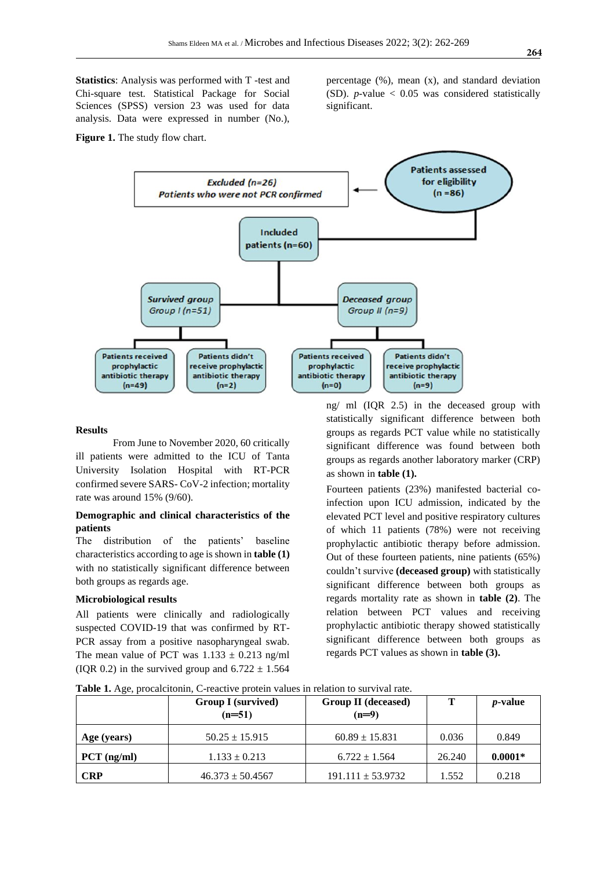**Statistics**: Analysis was performed with T -test and Chi-square test. Statistical Package for Social Sciences (SPSS) version 23 was used for data analysis. Data were expressed in number (No.),

**Figure 1.** The study flow chart.

percentage (%), mean (x), and standard deviation (SD).  $p$ -value  $< 0.05$  was considered statistically significant.



#### **Results**

From June to November 2020, 60 critically ill patients were admitted to the ICU of Tanta University Isolation Hospital with RT-PCR confirmed severe SARS- CoV-2 infection; mortality rate was around 15% (9/60).

### **Demographic and clinical characteristics of the patients**

The distribution of the patients' baseline characteristics according to age is shown in **table (1)** with no statistically significant difference between both groups as regards age.

#### **Microbiological results**

All patients were clinically and radiologically suspected COVID-19 that was confirmed by RT-PCR assay from a positive nasopharyngeal swab. The mean value of PCT was  $1.133 \pm 0.213$  ng/ml (IQR 0.2) in the survived group and  $6.722 \pm 1.564$ 

ng/ ml (IQR 2.5) in the deceased group with statistically significant difference between both groups as regards PCT value while no statistically significant difference was found between both groups as regards another laboratory marker (CRP) as shown in **table (1).**

Fourteen patients (23%) manifested bacterial coinfection upon ICU admission, indicated by the elevated PCT level and positive respiratory cultures of which 11 patients (78%) were not receiving prophylactic antibiotic therapy before admission. Out of these fourteen patients, nine patients (65%) couldn't survive **(deceased group)** with statistically significant difference between both groups as regards mortality rate as shown in **table (2)**. The relation between PCT values and receiving prophylactic antibiotic therapy showed statistically significant difference between both groups as regards PCT values as shown in **table (3).**

|               | <b>Group I</b> (survived)<br>$(n=51)$ | Group II (deceased)<br>$(n=9)$ | т      | <i>p</i> -value |
|---------------|---------------------------------------|--------------------------------|--------|-----------------|
| Age (years)   | $50.25 \pm 15.915$                    | $60.89 \pm 15.831$             | 0.036  | 0.849           |
| $PCT$ (ng/ml) | $1.133 \pm 0.213$                     | $6.722 \pm 1.564$              | 26.240 | $0.0001*$       |
| <b>CRP</b>    | $46.373 \pm 50.4567$                  | $191.111 \pm 53.9732$          | 1.552  | 0.218           |

**Table 1.** Age, procalcitonin, C-reactive protein values in relation to survival rate.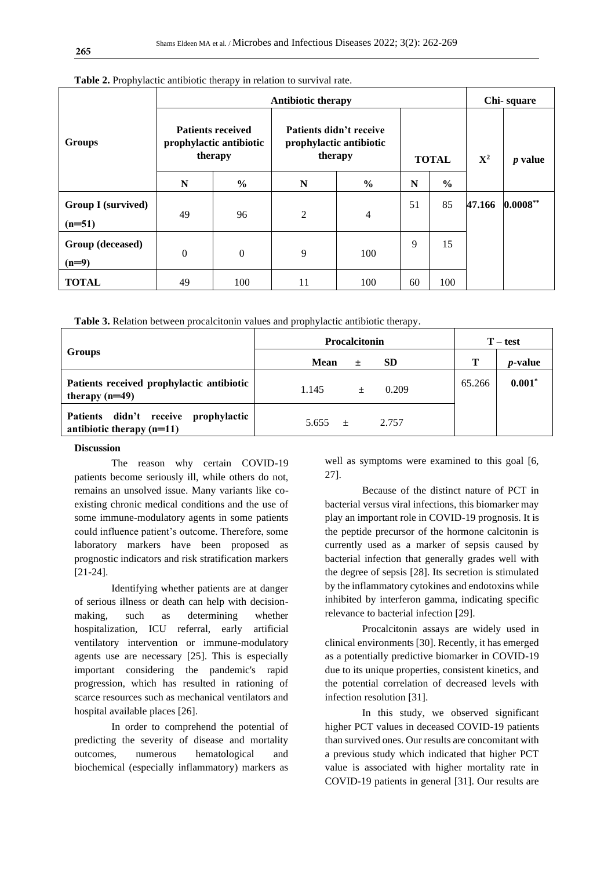|                                       | <b>Antibiotic therapy</b>                                      |               |                                                               |               |              | Chi-square    |             |                |
|---------------------------------------|----------------------------------------------------------------|---------------|---------------------------------------------------------------|---------------|--------------|---------------|-------------|----------------|
| <b>Groups</b>                         | <b>Patients received</b><br>prophylactic antibiotic<br>therapy |               | Patients didn't receive<br>prophylactic antibiotic<br>therapy |               | <b>TOTAL</b> |               | ${\bf X}^2$ | <i>p</i> value |
|                                       | N                                                              | $\frac{6}{6}$ | N                                                             | $\frac{0}{0}$ | N            | $\frac{6}{9}$ |             |                |
| <b>Group I</b> (survived)<br>$(n=51)$ | 49                                                             | 96            | 2                                                             | 4             | 51           | 85            | 47.166      | $0.0008**$     |
| Group (deceased)                      |                                                                |               |                                                               |               | 9            | 15            |             |                |
| $(n=9)$                               | $\Omega$                                                       | $\mathbf{0}$  | 9                                                             | 100           |              |               |             |                |
| <b>TOTAL</b>                          | 49                                                             | 100           | 11                                                            | 100           | 60           | 100           |             |                |

**Table 2.** Prophylactic antibiotic therapy in relation to survival rate.

**Table 3.** Relation between procalcitonin values and prophylactic antibiotic therapy.

|                                                                     | <b>Procalcitonin</b>     | $T - test$ |                 |
|---------------------------------------------------------------------|--------------------------|------------|-----------------|
| Groups                                                              | Mean<br><b>SD</b><br>$+$ | Т          | <i>p</i> -value |
| Patients received prophylactic antibiotic<br>therapy $(n=49)$       | 0.209<br>1.145<br>$^{+}$ | 65.266     | 0.001           |
| Patients didn't receive prophylactic<br>antibiotic therapy $(n=11)$ | 2.757<br>5.655 $\pm$     |            |                 |

### **Discussion**

The reason why certain COVID-19 patients become seriously ill, while others do not, remains an unsolved issue. Many variants like coexisting chronic medical conditions and the use of some immune-modulatory agents in some patients could influence patient's outcome. Therefore, some laboratory markers have been proposed as prognostic indicators and risk stratification markers [21-24].

Identifying whether patients are at danger of serious illness or death can help with decisionmaking, such as determining whether hospitalization, ICU referral, early artificial ventilatory intervention or immune-modulatory agents use are necessary [25]. This is especially important considering the pandemic's rapid progression, which has resulted in rationing of scarce resources such as mechanical ventilators and hospital available places [26].

In order to comprehend the potential of predicting the severity of disease and mortality outcomes, numerous hematological and biochemical (especially inflammatory) markers as

well as symptoms were examined to this goal [6, 27].

Because of the distinct nature of PCT in bacterial versus viral infections, this biomarker may play an important role in COVID-19 prognosis. It is the peptide precursor of the hormone calcitonin is currently used as a marker of sepsis caused by bacterial infection that generally grades well with the degree of sepsis [28]. Its secretion is stimulated by the inflammatory cytokines and endotoxins while inhibited by interferon gamma, indicating specific relevance to bacterial infection [29].

Procalcitonin assays are widely used in clinical environments [30]. Recently, it has emerged as a potentially predictive biomarker in COVID-19 due to its unique properties, consistent kinetics, and the potential correlation of decreased levels with infection resolution [31].

In this study, we observed significant higher PCT values in deceased COVID-19 patients than survived ones. Our results are concomitant with a previous study which indicated that higher PCT value is associated with higher mortality rate in COVID-19 patients in general [31]. Our results are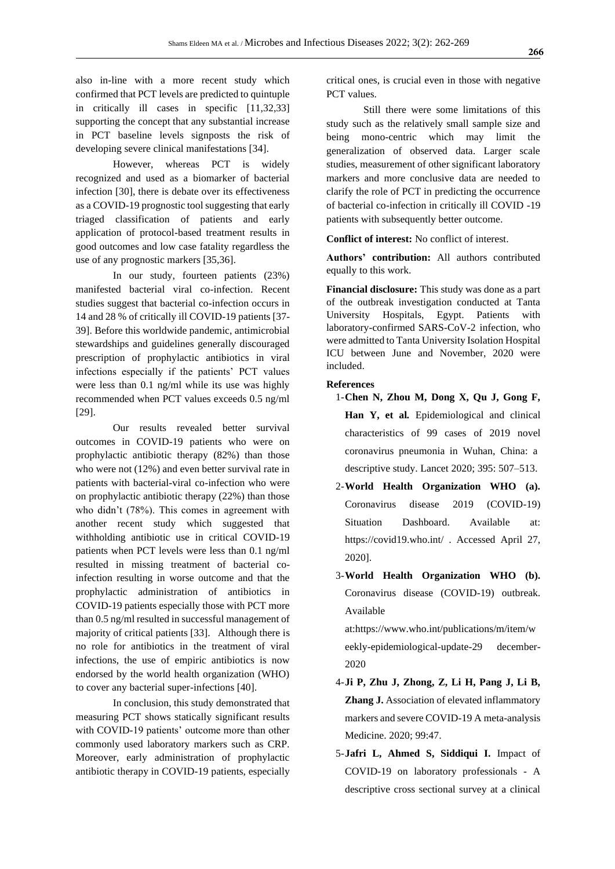also in-line with a more recent study which confirmed that PCT levels are predicted to quintuple in critically ill cases in specific [11,32,33] supporting the concept that any substantial increase in PCT baseline levels signposts the risk of developing severe clinical manifestations [34].

However, whereas PCT is widely recognized and used as a biomarker of bacterial infection [30], there is debate over its effectiveness as a COVID-19 prognostic tool suggesting that early triaged classification of patients and early application of protocol-based treatment results in good outcomes and low case fatality regardless the use of any prognostic markers [35,36].

In our study, fourteen patients (23%) manifested bacterial viral co-infection. Recent studies suggest that bacterial co-infection occurs in 14 and 28 % of critically ill COVID-19 patients [37- 39]. Before this worldwide pandemic, antimicrobial stewardships and guidelines generally discouraged prescription of prophylactic antibiotics in viral infections especially if the patients' PCT values were less than 0.1 ng/ml while its use was highly recommended when PCT values exceeds 0.5 ng/ml [29].

Our results revealed better survival outcomes in COVID-19 patients who were on prophylactic antibiotic therapy (82%) than those who were not (12%) and even better survival rate in patients with bacterial-viral co-infection who were on prophylactic antibiotic therapy (22%) than those who didn't (78%). This comes in agreement with another recent study which suggested that withholding antibiotic use in critical COVID-19 patients when PCT levels were less than 0.1 ng/ml resulted in missing treatment of bacterial coinfection resulting in worse outcome and that the prophylactic administration of antibiotics in COVID-19 patients especially those with PCT more than 0.5 ng/ml resulted in successful management of majority of critical patients [33]. Although there is no role for antibiotics in the treatment of viral infections, the use of empiric antibiotics is now endorsed by the world health organization (WHO) to cover any bacterial super-infections [40].

In conclusion, this study demonstrated that measuring PCT shows statically significant results with COVID-19 patients' outcome more than other commonly used laboratory markers such as CRP. Moreover, early administration of prophylactic antibiotic therapy in COVID-19 patients, especially

critical ones, is crucial even in those with negative PCT values.

Still there were some limitations of this study such as the relatively small sample size and being mono-centric which may limit the generalization of observed data. Larger scale studies, measurement of other significant laboratory markers and more conclusive data are needed to clarify the role of PCT in predicting the occurrence of bacterial co-infection in critically ill COVID -19 patients with subsequently better outcome.

**Conflict of interest:** No conflict of interest.

**Authors' contribution:** All authors contributed equally to this work.

**Financial disclosure:** This study was done as a part of the outbreak investigation conducted at Tanta University Hospitals, Egypt. Patients with laboratory-confirmed SARS-CoV-2 infection, who were admitted to Tanta University Isolation Hospital ICU between June and November, 2020 were included.

#### **References**

- 1-**Chen N, Zhou M, Dong X, Qu J, Gong F, Han Y, et al***.* Epidemiological and clinical characteristics of 99 cases of 2019 novel coronavirus pneumonia in Wuhan, China: a descriptive study. Lancet 2020; 395: 507–513.
- 2-**World Health Organization WHO (a).** Coronavirus disease 2019 (COVID-19) Situation Dashboard. Available at: https://covid19.who.int/ . Accessed April 27, 2020].
- 3-**World Health Organization WHO (b).** Coronavirus disease (COVID-19) outbreak. Available

at[:https://www.who.int/publications/m/item/w](https://www.who.int/publications/m/item/weekly-epidemiological-update-29%20december-2020) [eekly-epidemiological-update-29 december-](https://www.who.int/publications/m/item/weekly-epidemiological-update-29%20december-2020)[2020](https://www.who.int/publications/m/item/weekly-epidemiological-update-29%20december-2020)

- 4-**Ji P, Zhu J, Zhong, Z, Li H, Pang J, Li B, Zhang J.** Association of elevated inflammatory markers and severe COVID-19 A meta-analysis Medicine. 2020; 99:47.
- 5-**Jafri L, Ahmed S, Siddiqui I.** Impact of COVID-19 on laboratory professionals - A descriptive cross sectional survey at a clinical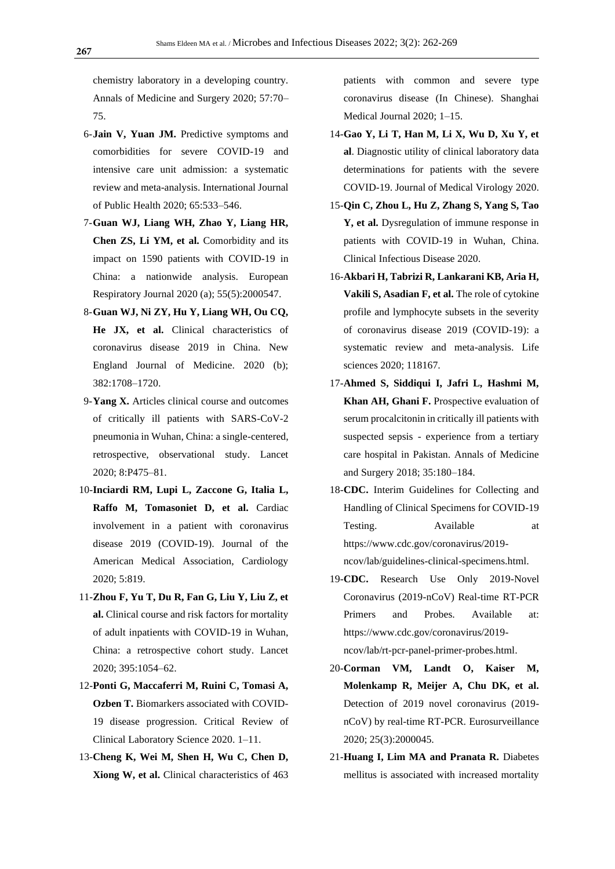chemistry laboratory in a developing country. Annals of Medicine and Surgery 2020; 57:70– 75.

- 6-**Jain V, Yuan JM.** Predictive symptoms and comorbidities for severe COVID-19 and intensive care unit admission: a systematic review and meta-analysis. International Journal of Public Health 2020; 65:533–546.
- 7-**Guan WJ, Liang WH, Zhao Y, Liang HR, Chen ZS, Li YM, et al.** Comorbidity and its impact on 1590 patients with COVID-19 in China: a nationwide analysis. European Respiratory Journal 2020 (a); 55(5):2000547.
- 8-**Guan WJ, Ni ZY, Hu Y, Liang WH, Ou CQ, He JX, et al.** Clinical characteristics of coronavirus disease 2019 in China. New England Journal of Medicine. 2020 (b); 382:1708–1720.
- 9-**Yang X.** Articles clinical course and outcomes of critically ill patients with SARS-CoV-2 pneumonia in Wuhan, China: a single-centered, retrospective, observational study. Lancet 2020; 8:P475–81.
- 10-**Inciardi RM, Lupi L, Zaccone G, Italia L, Raffo M, Tomasoniet D, et al.** Cardiac involvement in a patient with coronavirus disease 2019 (COVID-19). Journal of the American Medical Association, Cardiology 2020; 5:819.
- 11-**Zhou F, Yu T, Du R, Fan G, Liu Y, Liu Z, et al.** Clinical course and risk factors for mortality of adult inpatients with COVID-19 in Wuhan, China: a retrospective cohort study. Lancet 2020; 395:1054–62.
- 12-**Ponti G, Maccaferri M, Ruini C, Tomasi A, Ozben T.** Biomarkers associated with COVID-19 disease progression. Critical Review of Clinical Laboratory Science 2020. 1–11.
- 13-**Cheng K, Wei M, Shen H, Wu C, Chen D, Xiong W, et al.** Clinical characteristics of 463

patients with common and severe type coronavirus disease (In Chinese). Shanghai Medical Journal 2020; 1–15.

- 14-**Gao Y, Li T, Han M, Li X, Wu D, Xu Y, et al**. Diagnostic utility of clinical laboratory data determinations for patients with the severe COVID-19. Journal of Medical Virology 2020.
- 15-**Qin C, Zhou L, Hu Z, Zhang S, Yang S, Tao Y, et al.** Dysregulation of immune response in patients with COVID-19 in Wuhan, China. Clinical Infectious Disease 2020.
- 16-**Akbari H, Tabrizi R, Lankarani KB, Aria H, Vakili S, Asadian F, et al.** The role of cytokine profile and lymphocyte subsets in the severity of coronavirus disease 2019 (COVID-19): a systematic review and meta-analysis. Life sciences 2020; 118167.
- 17-**Ahmed S, Siddiqui I, Jafri L, Hashmi M, Khan AH, Ghani F.** Prospective evaluation of serum procalcitonin in critically ill patients with suspected sepsis - experience from a tertiary care hospital in Pakistan. Annals of Medicine and Surgery 2018; 35:180–184.
- 18-**CDC.** Interim Guidelines for Collecting and Handling of Clinical Specimens for COVID-19 Testing. Available at https://www.cdc.gov/coronavirus/2019 ncov/lab/guidelines-clinical-specimens.html.
- 19-**CDC.** Research Use Only 2019-Novel Coronavirus (2019-nCoV) Real-time RT-PCR Primers and Probes. Available at: [https://www.cdc.gov/coronavirus/2019](https://www.cdc.gov/coronavirus/2019-ncov/lab/rt-pcr-panel-primer-probes.html) [ncov/lab/rt-pcr-panel-primer-probes.html.](https://www.cdc.gov/coronavirus/2019-ncov/lab/rt-pcr-panel-primer-probes.html)
- 20-**Corman VM, Landt O, Kaiser M, Molenkamp R, Meijer A, Chu DK, et al.** Detection of 2019 novel coronavirus (2019 nCoV) by real-time RT-PCR. Eurosurveillance 2020; 25(3):2000045.
- 21-**Huang I, Lim MA and Pranata R.** Diabetes mellitus is associated with increased mortality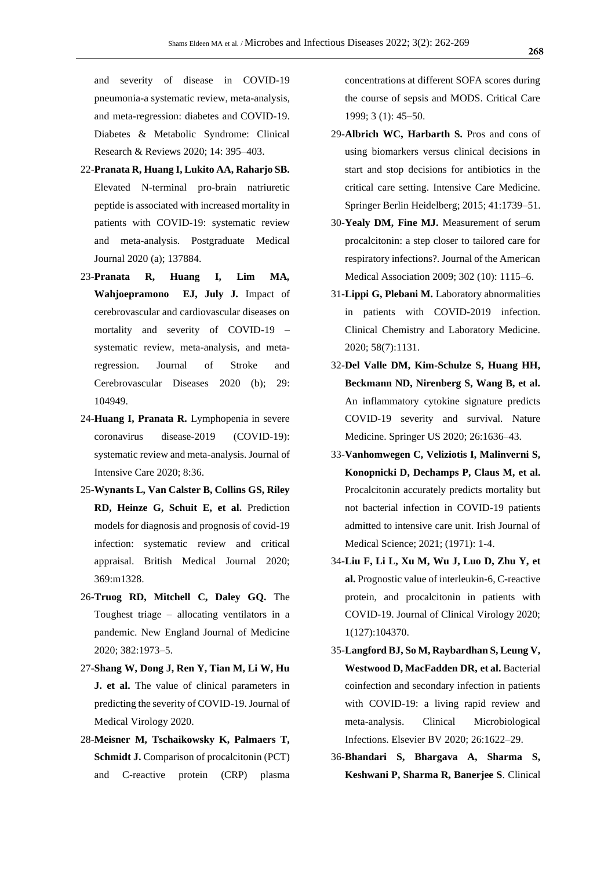and severity of disease in COVID-19 pneumonia-a systematic review, meta-analysis, and meta-regression: diabetes and COVID-19. Diabetes & Metabolic Syndrome: Clinical Research & Reviews 2020; 14: 395–403.

- 22-**Pranata R, Huang I, Lukito AA, Raharjo SB.** Elevated N-terminal pro-brain natriuretic peptide is associated with increased mortality in patients with COVID-19: systematic review and meta-analysis. Postgraduate Medical Journal 2020 (a); 137884.
- 23-**Pranata R, Huang I, Lim MA***,*  **Wahjoepramono EJ, July J***.* Impact of cerebrovascular and cardiovascular diseases on mortality and severity of COVID-19 – systematic review, meta-analysis, and metaregression. Journal of Stroke and Cerebrovascular Diseases 2020 (b); 29: 104949.
- 24-**Huang I, Pranata R.** Lymphopenia in severe coronavirus disease-2019 (COVID-19): systematic review and meta-analysis. Journal of Intensive Care 2020; 8:36.
- 25-**Wynants L, Van Calster B, Collins GS, Riley RD, Heinze G, Schuit E, et al.** Prediction models for diagnosis and prognosis of covid-19 infection: systematic review and critical appraisal. British Medical Journal 2020; 369:m1328.
- 26-**Truog RD, Mitchell C, Daley GQ.** The Toughest triage – allocating ventilators in a pandemic. New England Journal of Medicine 2020; 382:1973–5.
- 27-**Shang W, Dong J, Ren Y, Tian M, Li W, Hu J. et al.** The value of clinical parameters in predicting the severity of COVID-19. Journal of Medical Virology 2020.
- 28-**Meisner M, Tschaikowsky K, Palmaers T, Schmidt J.** Comparison of procalcitonin (PCT) and C-reactive protein (CRP) plasma

concentrations at different SOFA scores during the course of sepsis and MODS. Critical Care 1999; 3 (1): 45–50.

- 29-**Albrich WC, Harbarth S.** Pros and cons of using biomarkers versus clinical decisions in start and stop decisions for antibiotics in the critical care setting. Intensive Care Medicine. Springer Berlin Heidelberg; 2015; 41:1739–51.
- 30-**Yealy DM, Fine MJ.** Measurement of serum procalcitonin: a step closer to tailored care for respiratory infections?. Journal of the American Medical Association 2009; 302 (10): 1115–6.
- 31-**Lippi G, Plebani M.** Laboratory abnormalities in patients with COVID-2019 infection. Clinical Chemistry and Laboratory Medicine. 2020; 58(7):1131.
- 32-**Del Valle DM, Kim-Schulze S, Huang HH, Beckmann ND, Nirenberg S, Wang B, et al.** An inflammatory cytokine signature predicts COVID-19 severity and survival. Nature Medicine. Springer US 2020; 26:1636–43.
- 33-**Vanhomwegen C, Veliziotis I, Malinverni S, Konopnicki D, Dechamps P, Claus M, et al.**  Procalcitonin accurately predicts mortality but not bacterial infection in COVID-19 patients admitted to intensive care unit. Irish Journal of Medical Science; 2021; (1971): 1-4.
- 34-**Liu F, Li L, Xu M, Wu J, Luo D, Zhu Y, et al.** Prognostic value of interleukin-6, C-reactive protein, and procalcitonin in patients with COVID-19. Journal of Clinical Virology 2020; 1(127):104370.
- 35-**Langford BJ, So M, Raybardhan S, Leung V, Westwood D, MacFadden DR, et al.** Bacterial coinfection and secondary infection in patients with COVID-19: a living rapid review and meta-analysis. Clinical Microbiological Infections. Elsevier BV 2020; 26:1622–29.
- 36-**Bhandari S, Bhargava A, Sharma S, Keshwani P, Sharma R, Banerjee S**. Clinical